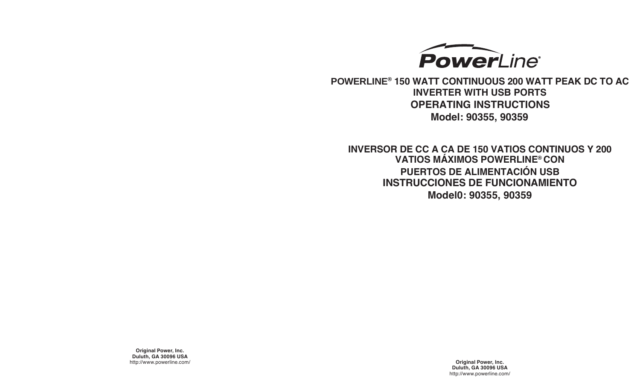

**POWERLINE® 150 WATT CONTINUOUS 200 WATT PEAK DC TO AC INVERTER WITH USB PORTS OPERATING INSTRUCTIONS Model: 90355, 90359**

**INVERSOR DE CC A CA DE 150 VATIOS CONTINUOS Y 200 VATIOS MÁXIMOS POWERLINE® CON PUERTOS DE ALIMENTACIÓN USB INSTRUCCIONES DE FUNCIONAMIENTO Model0: 90355, 90359**

**Original Power, Inc. Duluth, GA 30096 USA** http://www.powerline.com/ **Original Power, Inc.**

**Duluth, GA 30096 USA** http://www.powerline.com/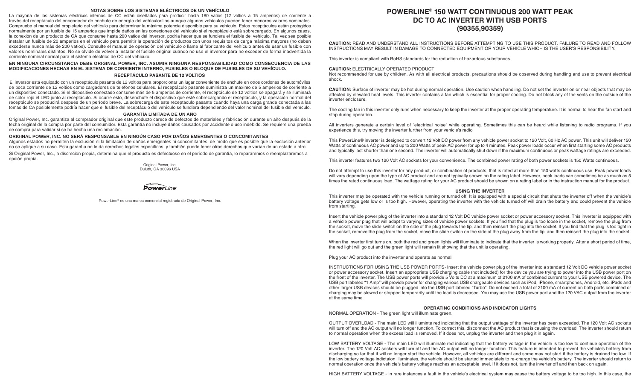## **NOTAS SOBRE LOS SISTEMAS ELÉCTRICOS DE UN VEHÍCULO**

La mayoría de los sistemas eléctricos internos de CC están diseñados para producir hasta 180 vatios (12 voltios a 15 amperios) de corriente a través del receptáculo del encendedor de enchufe de energía del vehículorillos aunque algunos vehículos pueden tener menores valores nominales. Compruebe el manual del propietario del vehículo para determinar la máxima potencia disponible para su vehículo. Estos receptáculos están protegidos normalmente por un fusible de 15 amperios que impide daños en las conexiones del vehículo si el receptáculo está sobrecargado. En algunos casos, la conexión de un producto de CA que consume hasta 200 vatios del inversor, podría hacer que se fundiera el fusible del vehículo. Tal vez sea posible instalar un fusible de 20 amperios en el vehículo para permitir la operación de productos con unos requisitos de carga máxima mayores (no deben excederse nunca más de 200 vatios). Consulte el manual de operación del vehículo o llame al fabricante del vehículo antes de usar un fusible con valores nominales distintos. No se olvide de volver a instalar el fusible original cuando no use el inversor para no exceder de forma inadvertida la corriente nominal normal para el sistema eléctrico de CC del vehículo.

**EN NINGUNA CIRCUNSTANCIA DEBE ORIGINAL POWER, INC. ASUMIR NINGUNA RESPONSABILIDAD COMO CONSECUENCIA DE LAS MODIFICACIONES HECHAS EN EL SISTEMA DE CORRIENTE INTERNO, FUSIBLES O BLOQUE DE FUSIBLES DE SU VEHÍCULO.**

## **RECEPTÁCULO PASANTE DE 12 VOLTIOS**

El inversor está equipado con un receptáculo pasante de 12 voltios para proporcionar un lugar conveniente de enchufe en otros cordones de automóviles de poca corriente de 12 voltios como cargadores de teléfonos celulares. El receptáculo pasante suministra un máximo de 5 amperios de corriente a un dispositivo conectado. Si el dispositivo conectado consume más de 5 amperios de corriente, el receptáculo de 12 voltios se apagará y se iluminará de color rojo el LED junto al receptáculo. Si ocurre esto, desenchufe el dispositivo que esté sobrecargando el receptáculo, y la operación normal del receptáculo se producirá después de un período breve. La sobrecarga de este receptáculo pasante cuando haya una carga grande conectada a las tomas de CA posiblemente podría hacer que el fusible del receptáculo del vehículo se fundiera dependiendo del valor nominal del fusible del vehículo.

## **GARANTÍA LIMITADA DE UN AÑO**

Original Power, Inc. garantiza al comprador original que este producto carece de defectos de materiales y fabricación durante un año después de la fecha original de la compra por parte del consumidor. Esta garantía no incluye daños causados por accidente o uso indebido. Se requiere una prueba de compra para validar si se ha hecho una reclamación.

## **ORIGINAL POWER, INC. NO SERÁ RESPONSABLE EN NINGÚN CASO POR DAÑOS EMERGENTES O CONCOMITANTES**

Algunos estados no permiten la exclusión ni la limitación de daños emergentes ni concomitantes, de modo que es posible que la exclusión anterior no se aplique a su caso. Esta garantía no le da derechos legales específicos, y también puede tener otros derechos que varían de un estado a otro.

Si Original Power, Inc., a discreción propia, determina que el producto es defectuoso en el período de garantía, lo repararemos o reemplazaremos a opción propia.

> Original Power, Inc. Duluth, GA 30096 USA



PowerLine® es una marca comercial registrada de Original Power, Inc.

# **POWERLINE® 150 WATT CONTINUOUS 200 WATT PEAK DC TO AC INVERTER WITH USB PORTS (90355,90359)**

**CAUTION:** READ AND UNDERSTAND ALL INSTRUCTIONS BEFORE ATTEMPTING TO USE THIS PRODUCT. FAILURE TO READ AND FOLLOW INSTRUCTIONS MAY RESULT IN DAMAGE TO CONNECTED EQUIPMENT OR YOUR VEHICLE WHICH IS THE USER'S RESPONSIBILITY.

This inverter is compliant with RoHS standards for the reduction of hazardous substances.

#### **CAUTION:** ELECTRICALLY OPERATED PRODUCT

Not recommended for use by children. As with all electrical products, precautions should be observed during handling and use to prevent electrical shock.

**CAUTION:** Surface of inverter may be hot during normal operation. Use caution when handling. Do not set the inverter on or near objects that may be affected by elevated heat levels. This inverter contains a fan which is essential for proper cooling. Do not block any of the vents on the outside of the inverter enclosure.

The cooling fan in this inverter only runs when necessary to keep the inverter at the proper operating temperature. It is normal to hear the fan start and stop during operation.

All inverters generate a certain level of "electrical noise" while operating. Sometimes this can be heard while listening to radio programs. If you experience this, try moving the inverter further from your vehicle's radio

This PowerLine® inverter is designed to convert 12 Volt DC power from any vehicle power socket to 120 Volt, 60 Hz AC power. This unit will deliver 150 Watts of continuous AC power and up to 200 Watts of peak AC power for up to 4 minutes. Peak power loads occur when first starting some AC products and typically last shorter than one second. The inverter will automatically shut down if the maximum continuous or peak wattage ratings are exceeded.

This inverter features two 120 Volt AC sockets for your convenience. The combined power rating of both power sockets is 150 Watts continuous.

Do not attempt to use this inverter for any product, or combination of products, that is rated at more than 150 watts continuous use. Peak power loads will vary depending upon the type of AC product and are not typically shown on the rating label. However, peak loads can sometimes be as much as 5 times the rated continuous load. The wattage rating for your AC product should be shown on a rating label or in the instruction manual for the product.

## **USING THE INVERTER**

This inverter may be operated with the vehicle running or turned off. It is equipped with a special circuit that shuts the inverter off when the vehicle's battery voltage gets low or is too high. However, operating the inverter with the vehicle turned off will drain the battery and could prevent the vehicle from starting.

Insert the vehicle power plug of the inverter into a standard 12 Volt DC vehicle power socket or power accessory socket. This inverter is equipped with a vehicle power plug that will adapt to varying sizes of vehicle power sockets. If you find that the plug is too loose in the socket, remove the plug from the socket, move the slide switch on the side of the plug towards the tip, and then reinsert the plug into the socket. If you find that the plug is too tight in the socket, remove the plug from the socket, move the slide switch on the side of the plug away from the tip, and then reinsert the plug into the socket.

When the inverter first turns on, both the red and green lights will illuminate to indicate that the inverter is working properly. After a short period of time, the red light will go out and the green light will remain lit showing that the unit is operating.

Plug your AC product into the inverter and operate as normal.

INSTRUCTIONS FOR USING THE USB POWER PORTS- Insert the vehicle power plug of the inverter into a standard 12 Volt DC vehicle power socket or power accessory socket. Insert an appropriate USB charging cable (not included) for the device you are trying to power into the USB power port on the front of the inverter. The USB power ports will provide 5 Volts DC at a maximum of 2100 mA of combined current to your USB powered device. The USB port labeled "1 Amp" will provide power for charging various USB chargeable devices such as iPod, iPhone, smartphones, Android, etc. iPads and other larger USB devices should be plugged into the USB port labeled "Turbo". Do not exceed a total of 2100 mA of current on both ports combined or charging may be slowed or stopped temporarily until the load is decreased. You may use the USB power port and the 120 VAC output from the inverter at the same time.

## **OPERATING CONDITIONS AND INDICATOR LIGHTS**

NORMAL OPERATION - The green light will illuminate green.

OUTPUT OVERLOAD - The main LED will illuminte red indicating that the output wattage of the inverter has been exceeded. The 120 Volt AC sockets will turn off and the AC output will no longer function. To correct this, disconnect the AC product that is causing the overload. The inverter should return to normal operation when the excess load is removed. If it does not, unplug the inverter and then plug it in again.

LOW BATTERY VOLTAGE - The main LED will illuminate red indicating that the battery voltage in the vehicle is too low to continue operation of the inverter. The 120 Volt AC sockets will turn off and the AC output will no longer function. This feature is intended to prevent the vehicle's battery from discharging so far that it will no longer start the vehicle. However, all vehicles are different and some may not start if the battery is drained too low. If the low battery voltage indictaion illuminates, the vehicle should be started immediately to re-charge the vehicle's battery. The inverter should return to normal operation once the vehicle's battery voltage reaches an acceptable level. If it does not, turn the inverter off and then back on again.

HIGH BATTERY VOLTAGE - In rare instances a fault in the vehicle's electrical system may cause the battery voltage to be too high. In this case, the